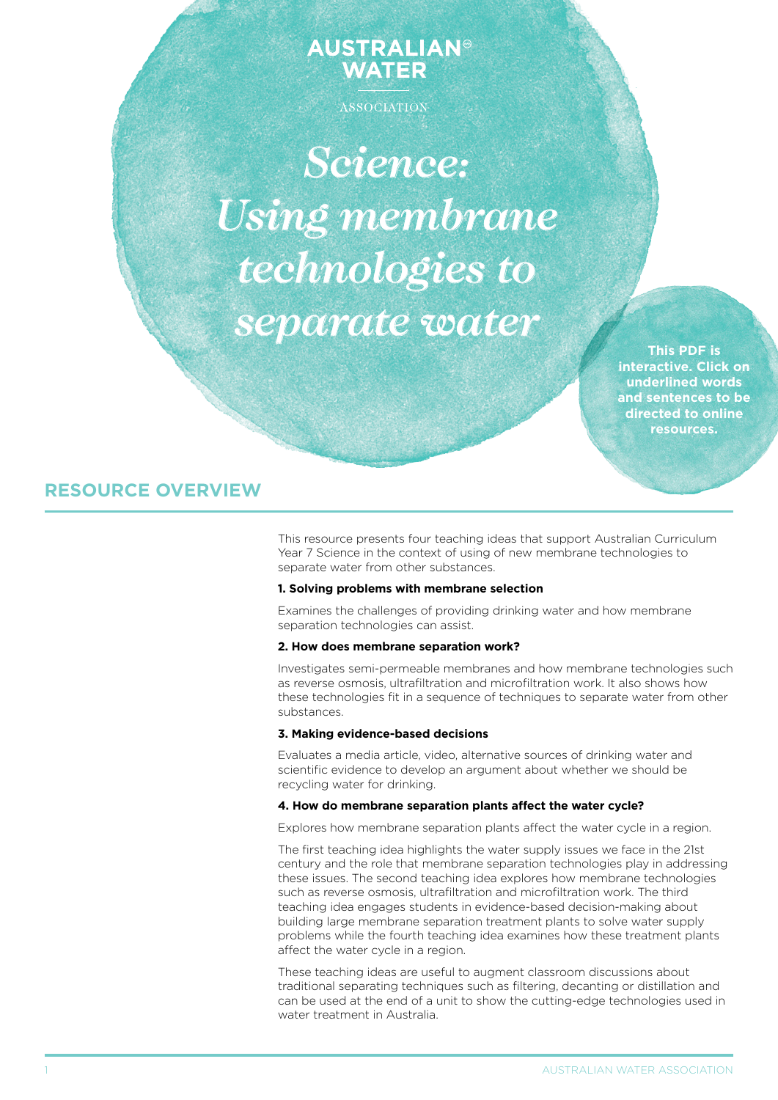# **AUSTRALIAN® WATER**

ASSOCIATION

*Science: Using membrane technologies to separate water*

> **This PDF is interactive. Click on underlined words and sentences to be directed to online resources.**

# **RESOURCE OVERVIEW**

This resource presents four teaching ideas that support Australian Curriculum Year 7 Science in the context of using of new membrane technologies to separate water from other substances.

# **1. Solving problems with membrane selection**

Examines the challenges of providing drinking water and how membrane separation technologies can assist.

#### **2. How does membrane separation work?**

Investigates semi-permeable membranes and how membrane technologies such as reverse osmosis, ultrafiltration and microfiltration work. It also shows how these technologies fit in a sequence of techniques to separate water from other substances.

# **3. Making evidence-based decisions**

Evaluates a media article, video, alternative sources of drinking water and scientific evidence to develop an argument about whether we should be recycling water for drinking.

# **4. How do membrane separation plants affect the water cycle?**

Explores how membrane separation plants affect the water cycle in a region.

The first teaching idea highlights the water supply issues we face in the 21st century and the role that membrane separation technologies play in addressing these issues. The second teaching idea explores how membrane technologies such as reverse osmosis, ultrafiltration and microfiltration work. The third teaching idea engages students in evidence-based decision-making about building large membrane separation treatment plants to solve water supply problems while the fourth teaching idea examines how these treatment plants affect the water cycle in a region.

These teaching ideas are useful to augment classroom discussions about traditional separating techniques such as filtering, decanting or distillation and can be used at the end of a unit to show the cutting-edge technologies used in water treatment in Australia.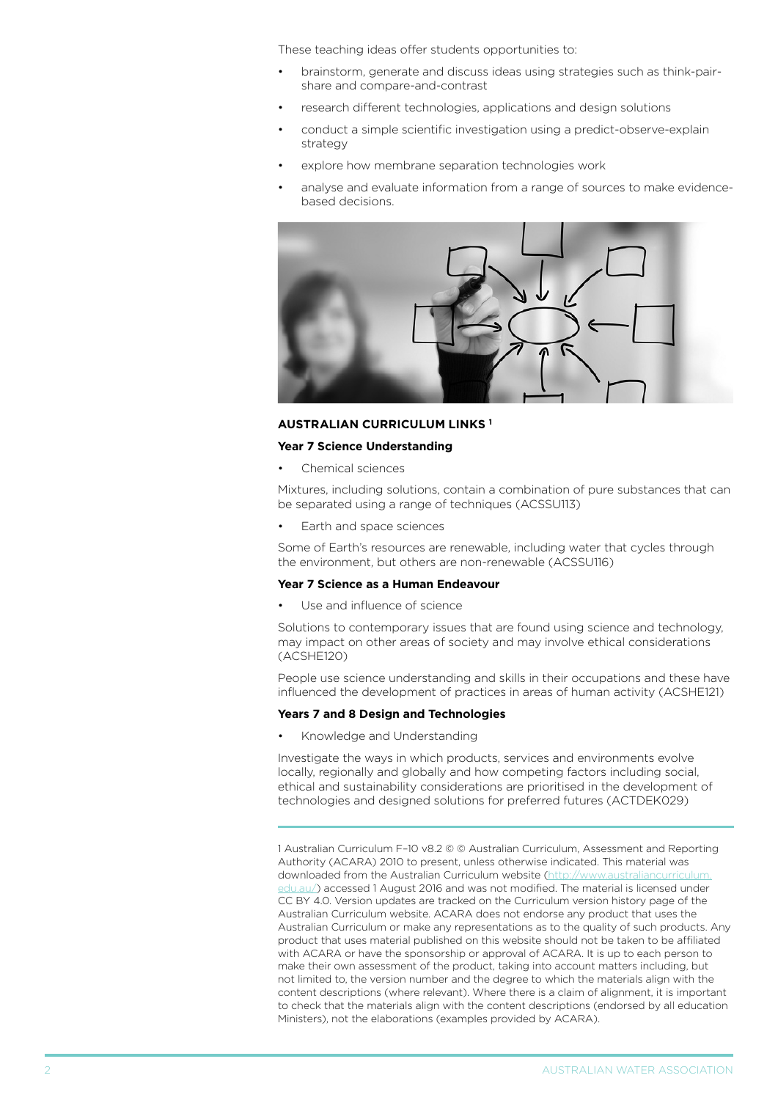These teaching ideas offer students opportunities to:

- brainstorm, generate and discuss ideas using strategies such as think-pairshare and compare-and-contrast
- research different technologies, applications and design solutions
- conduct a simple scientific investigation using a predict-observe-explain strategy
- explore how membrane separation technologies work
- analyse and evaluate information from a range of sources to make evidencebased decisions.



#### **AUStralian curriculum links <sup>1</sup>**

#### **Year 7 Science Understanding**

Chemical sciences

Mixtures, including solutions, contain a combination of pure substances that can be separated using a range of techniques (ACSSU113)

Earth and space sciences

Some of Earth's resources are renewable, including water that cycles through the environment, but others are non-renewable (ACSSU116)

#### **Year 7 Science as a Human Endeavour**

Use and influence of science

Solutions to contemporary issues that are found using science and technology, may impact on other areas of society and may involve ethical considerations (ACSHE120)

People use science understanding and skills in their occupations and these have influenced the development of practices in areas of human activity (ACSHE121)

#### **Years 7 and 8 Design and Technologies**

Knowledge and Understanding

Investigate the ways in which products, services and environments evolve locally, regionally and globally and how competing factors including social, ethical and sustainability considerations are prioritised in the development of technologies and designed solutions for preferred futures (ACTDEK029)

1 Australian Curriculum F–10 v8.2 © © Australian Curriculum, Assessment and Reporting Authority (ACARA) 2010 to present, unless otherwise indicated. This material was downloaded from the Australian Curriculum website ([http://www.australiancurriculum.](http://www.australiancurriculum.edu.au/) [edu.au/](http://www.australiancurriculum.edu.au/)) accessed 1 August 2016 and was not modified. The material is licensed under CC BY 4.0. Version updates are tracked on the Curriculum version history page of the Australian Curriculum website. ACARA does not endorse any product that uses the Australian Curriculum or make any representations as to the quality of such products. Any product that uses material published on this website should not be taken to be affiliated with ACARA or have the sponsorship or approval of ACARA. It is up to each person to make their own assessment of the product, taking into account matters including, but not limited to, the version number and the degree to which the materials align with the content descriptions (where relevant). Where there is a claim of alignment, it is important to check that the materials align with the content descriptions (endorsed by all education Ministers), not the elaborations (examples provided by ACARA).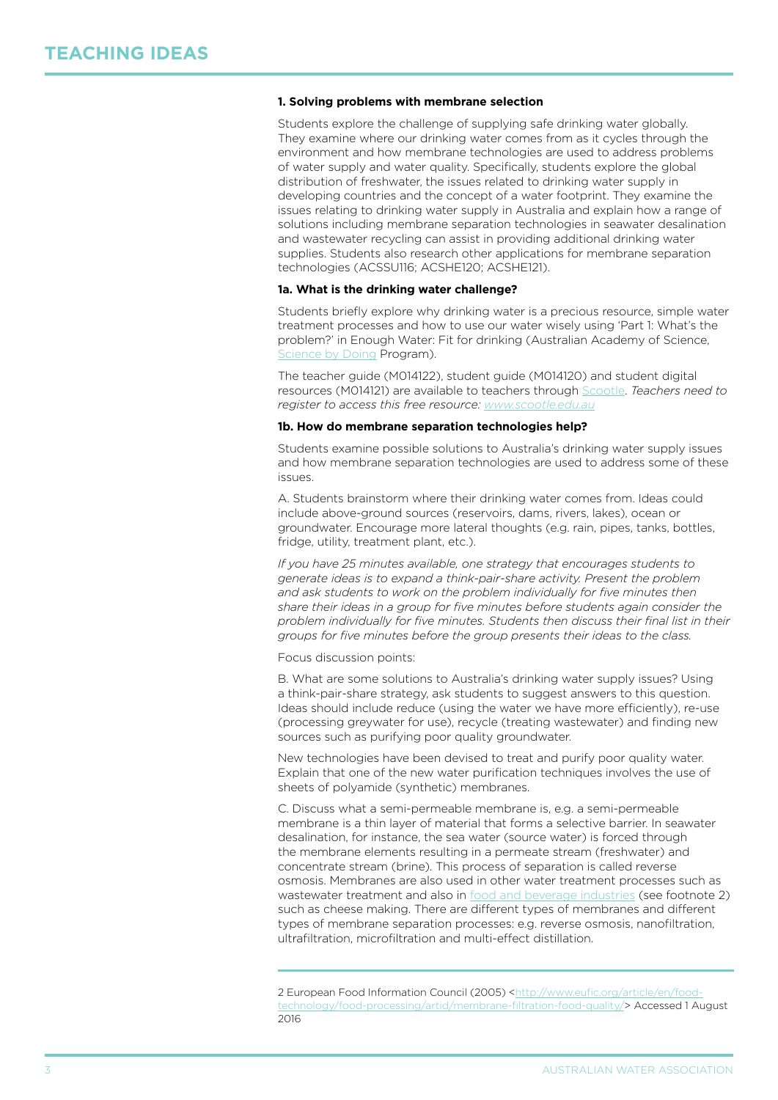#### **1. Solving problems with membrane selection**

Students explore the challenge of supplying safe drinking water globally. They examine where our drinking water comes from as it cycles through the environment and how membrane technologies are used to address problems of water supply and water quality. Specifically, students explore the global distribution of freshwater, the issues related to drinking water supply in developing countries and the concept of a water footprint. They examine the issues relating to drinking water supply in Australia and explain how a range of solutions including membrane separation technologies in seawater desalination and wastewater recycling can assist in providing additional drinking water supplies. Students also research other applications for membrane separation technologies (ACSSU116; ACSHE120; ACSHE121).

#### **1a. What is the drinking water challenge?**

Students briefly explore why drinking water is a precious resource, simple water treatment processes and how to use our water wisely using 'Part 1: What's the problem?' in Enough Water: Fit for drinking (Australian Academy of Science, [Science by Doing](https://www.sciencebydoing.edu.au/index.html) Program).

The teacher guide (M014122), student guide (M014120) and student digital resources (M014121) are available to teachers through [Scootle](http://www.scootle.edu.au/ec/p/home). *Teachers need to register to access this free resource: <www.scootle.edu.au>*

#### **1b. How do membrane separation technologies help?**

Students examine possible solutions to Australia's drinking water supply issues and how membrane separation technologies are used to address some of these issues.

A. Students brainstorm where their drinking water comes from. Ideas could include above-ground sources (reservoirs, dams, rivers, lakes), ocean or groundwater. Encourage more lateral thoughts (e.g. rain, pipes, tanks, bottles, fridge, utility, treatment plant, etc.).

*If you have 25 minutes available, one strategy that encourages students to generate ideas is to expand a think-pair-share activity. Present the problem and ask students to work on the problem individually for five minutes then share their ideas in a group for five minutes before students again consider the problem individually for five minutes. Students then discuss their final list in their groups for five minutes before the group presents their ideas to the class.*

Focus discussion points:

B. What are some solutions to Australia's drinking water supply issues? Using a think-pair-share strategy, ask students to suggest answers to this question. Ideas should include reduce (using the water we have more efficiently), re-use (processing greywater for use), recycle (treating wastewater) and finding new sources such as purifying poor quality groundwater.

New technologies have been devised to treat and purify poor quality water. Explain that one of the new water purification techniques involves the use of sheets of polyamide (synthetic) membranes.

C. Discuss what a semi-permeable membrane is, e.g. a semi-permeable membrane is a thin layer of material that forms a selective barrier. In seawater desalination, for instance, the sea water (source water) is forced through the membrane elements resulting in a permeate stream (freshwater) and concentrate stream (brine). This process of separation is called reverse osmosis. Membranes are also used in other water treatment processes such as wastewater treatment and also in [food and beverage industries](http://www.eufic.org/article/en/food-technology/food-processing/artid/membrane-filtration-food-quality/) (see footnote 2) such as cheese making. There are different types of membranes and different types of membrane separation processes: e.g. reverse osmosis, nanofiltration, ultrafiltration, microfiltration and multi-effect distillation.

<sup>2</sup> European Food Information Council (2005) [<http://www.eufic.org/article/en/food](http://www.eufic.org/article/en/food-technology/food-processing/artid/membrane-filtration-food-quality/)[technology/food-processing/artid/membrane-filtration-food-quality/>](http://www.eufic.org/article/en/food-technology/food-processing/artid/membrane-filtration-food-quality/) Accessed 1 August 2016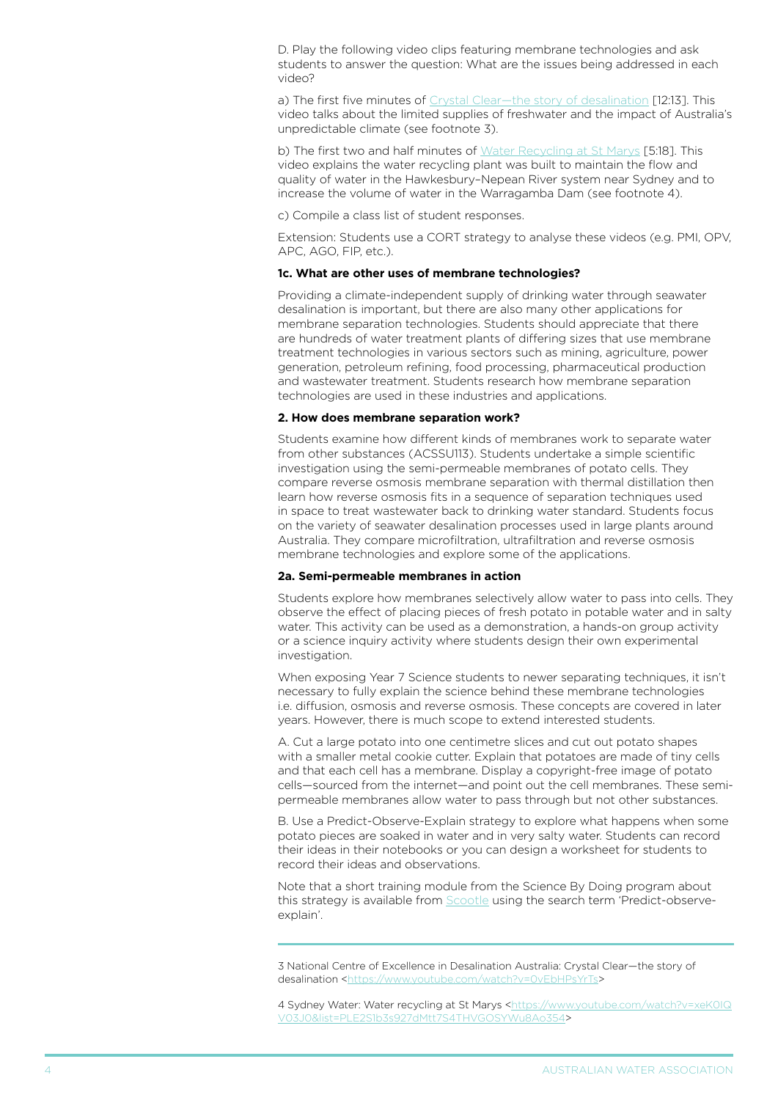D. Play the following video clips featuring membrane technologies and ask students to answer the question: What are the issues being addressed in each video?

a) The first five minutes of [Crystal Clear—the story of desalination](https://www.youtube.com/watch?v=0vEbHPsYrTs) [12:13]. This video talks about the limited supplies of freshwater and the impact of Australia's unpredictable climate (see footnote 3).

b) The first two and half minutes of [Water Recycling at St Marys](https://www.youtube.com/watch?v=xeK0IQV03J0&list=PLE2S1b3s927dMtt7S4THVGOSYWu8Ao354) [5:18]. This video explains the water recycling plant was built to maintain the flow and quality of water in the Hawkesbury–Nepean River system near Sydney and to increase the volume of water in the Warragamba Dam (see footnote 4).

c) Compile a class list of student responses.

Extension: Students use a CORT strategy to analyse these videos (e.g. PMI, OPV, APC, AGO, FIP, etc.).

#### **1c. What are other uses of membrane technologies?**

Providing a climate-independent supply of drinking water through seawater desalination is important, but there are also many other applications for membrane separation technologies. Students should appreciate that there are hundreds of water treatment plants of differing sizes that use membrane treatment technologies in various sectors such as mining, agriculture, power generation, petroleum refining, food processing, pharmaceutical production and wastewater treatment. Students research how membrane separation technologies are used in these industries and applications.

#### **2. How does membrane separation work?**

Students examine how different kinds of membranes work to separate water from other substances (ACSSU113). Students undertake a simple scientific investigation using the semi-permeable membranes of potato cells. They compare reverse osmosis membrane separation with thermal distillation then learn how reverse osmosis fits in a sequence of separation techniques used in space to treat wastewater back to drinking water standard. Students focus on the variety of seawater desalination processes used in large plants around Australia. They compare microfiltration, ultrafiltration and reverse osmosis membrane technologies and explore some of the applications.

#### **2a. Semi-permeable membranes in action**

Students explore how membranes selectively allow water to pass into cells. They observe the effect of placing pieces of fresh potato in potable water and in salty water. This activity can be used as a demonstration, a hands-on group activity or a science inquiry activity where students design their own experimental investigation.

When exposing Year 7 Science students to newer separating techniques, it isn't necessary to fully explain the science behind these membrane technologies i.e. diffusion, osmosis and reverse osmosis. These concepts are covered in later years. However, there is much scope to extend interested students.

A. Cut a large potato into one centimetre slices and cut out potato shapes with a smaller metal cookie cutter. Explain that potatoes are made of tiny cells and that each cell has a membrane. Display a copyright-free image of potato cells—sourced from the internet—and point out the cell membranes. These semipermeable membranes allow water to pass through but not other substances.

B. Use a Predict-Observe-Explain strategy to explore what happens when some potato pieces are soaked in water and in very salty water. Students can record their ideas in their notebooks or you can design a worksheet for students to record their ideas and observations.

Note that a short training module from the Science By Doing program about this strategy is available from **Scootle** using the search term 'Predict-observeexplain'.

4 Sydney Water: Water recycling at St Marys [<https://www.youtube.com/watch?v=xeK0IQ](https://www.youtube.com/watch?v=xeK0IQV03J0&list=PLE2S1b3s927dMtt7S4THVGOSYWu8Ao354) [V03J0&list=PLE2S1b3s927dMtt7S4THVGOSYWu8Ao354>](https://www.youtube.com/watch?v=xeK0IQV03J0&list=PLE2S1b3s927dMtt7S4THVGOSYWu8Ao354)

<sup>3</sup> National Centre of Excellence in Desalination Australia: Crystal Clear—the story of desalination [<https://www.youtube.com/watch?v=0vEbHPsYrTs>](https://www.youtube.com/watch?v=0vEbHPsYrTs)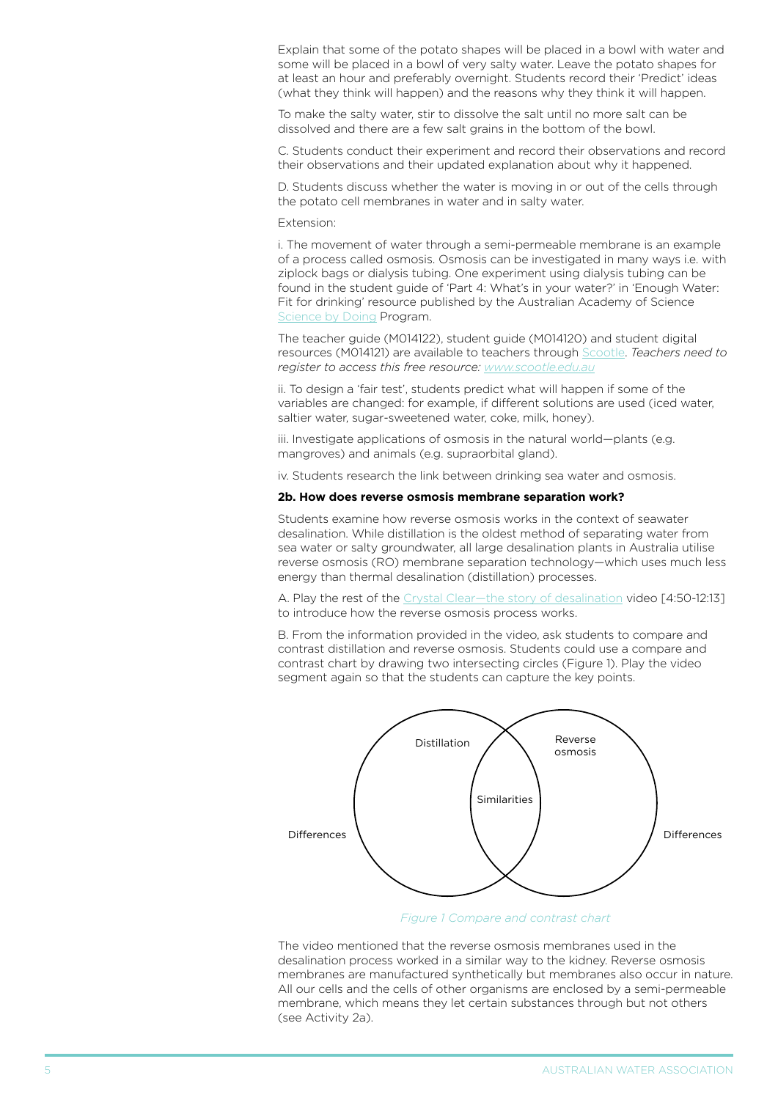Explain that some of the potato shapes will be placed in a bowl with water and some will be placed in a bowl of very salty water. Leave the potato shapes for at least an hour and preferably overnight. Students record their 'Predict' ideas (what they think will happen) and the reasons why they think it will happen.

To make the salty water, stir to dissolve the salt until no more salt can be dissolved and there are a few salt grains in the bottom of the bowl.

C. Students conduct their experiment and record their observations and record their observations and their updated explanation about why it happened.

D. Students discuss whether the water is moving in or out of the cells through the potato cell membranes in water and in salty water.

Extension:

i. The movement of water through a semi-permeable membrane is an example of a process called osmosis. Osmosis can be investigated in many ways i.e. with ziplock bags or dialysis tubing. One experiment using dialysis tubing can be found in the student guide of 'Part 4: What's in your water?' in 'Enough Water: Fit for drinking' resource published by the Australian Academy of Science [Science by Doing](https://www.sciencebydoing.edu.au/index.html) Program.

The teacher guide (M014122), student guide (M014120) and student digital resources (M014121) are available to teachers through [Scootle](http://www.scootle.edu.au/). *Teachers need to register to access this free resource: <www.scootle.edu.au>*

ii. To design a 'fair test', students predict what will happen if some of the variables are changed: for example, if different solutions are used (iced water, saltier water, sugar-sweetened water, coke, milk, honey).

iii. Investigate applications of osmosis in the natural world—plants (e.g. mangroves) and animals (e.g. supraorbital gland).

iv. Students research the link between drinking sea water and osmosis.

#### **2b. How does reverse osmosis membrane separation work?**

Students examine how reverse osmosis works in the context of seawater desalination. While distillation is the oldest method of separating water from sea water or salty groundwater, all large desalination plants in Australia utilise reverse osmosis (RO) membrane separation technology—which uses much less energy than thermal desalination (distillation) processes.

A. Play the rest of the [Crystal Clear—the story of desalination](https://www.youtube.com/watch?v=0vEbHPsYrTs) video [4:50-12:13] to introduce how the reverse osmosis process works.

B. From the information provided in the video, ask students to compare and contrast distillation and reverse osmosis. Students could use a compare and contrast chart by drawing two intersecting circles (Figure 1). Play the video segment again so that the students can capture the key points.



*[Figure 1](http://www.australiancurriculum.edu.au/science/curriculum/f-10?layout=1#level7) Compare and contrast chart*

The video mentioned that the reverse osmosis membranes used in the desalination process worked in a similar way to the kidney. Reverse osmosis membranes are manufactured synthetically but membranes also occur in nature. All our cells and the cells of other organisms are enclosed by a semi-permeable membrane, which means they let certain substances through but not others (see Activity 2a).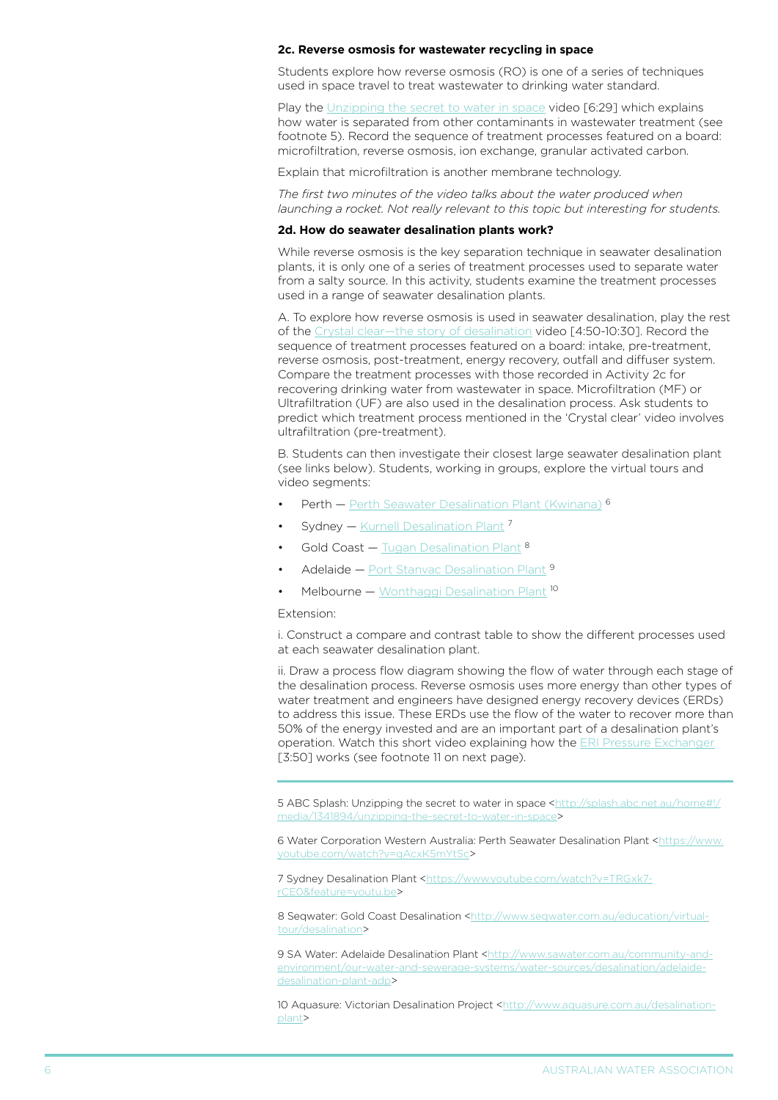#### **2c. Reverse osmosis for wastewater recycling in space**

Students explore how reverse osmosis (RO) is one of a series of techniques used in space travel to treat wastewater to drinking water standard.

Play the [Unzipping the secret to water in space](http://splash.abc.net.au/home#!/media/1341894/unzipping-the-secret-to-water-in-space) video [6:29] which explains how water is separated from other contaminants in wastewater treatment (see footnote 5). Record the sequence of treatment processes featured on a board: microfiltration, reverse osmosis, ion exchange, granular activated carbon.

Explain that microfiltration is another membrane technology.

*The first two minutes of the video talks about the water produced when launching a rocket. Not really relevant to this topic but interesting for students.*

#### **2d. How do seawater desalination plants work?**

While reverse osmosis is the key separation technique in seawater desalination plants, it is only one of a series of treatment processes used to separate water from a salty source. In this activity, students examine the treatment processes used in a range of seawater desalination plants.

A. To explore how reverse osmosis is used in seawater desalination, play the rest of the [Crystal clear—the story of desalination](https://www.youtube.com/watch?v=0vEbHPsYrTs) video [4:50-10:30]. Record the sequence of treatment processes featured on a board: intake, pre-treatment, reverse osmosis, post-treatment, energy recovery, outfall and diffuser system. Compare the treatment processes with those recorded in Activity 2c for recovering drinking water from wastewater in space. Microfiltration (MF) or Ultrafiltration (UF) are also used in the desalination process. Ask students to predict which treatment process mentioned in the 'Crystal clear' video involves ultrafiltration (pre-treatment).

B. Students can then investigate their closest large seawater desalination plant (see links below). Students, working in groups, explore the virtual tours and video segments:

- Perth – [Perth Seawater Desalination Plant \(Kwinana\)](https://www.youtube.com/watch?v=qAcxK5mYtSc) <sup>6</sup>
- **Sydney [Kurnell Desalination Plant](https://www.youtube.com/watch?v=TRGxk7-rCE0&feature=youtu.be)**  $^7$
- Gold Coast  $-$  [Tugan Desalination Plant](http://www.seqwater.com.au/education/virtual-tour/desalination)  $8$
- $A$ delaide — [Port Stanvac Desalination Plant](http://www.sawater.com.au/community-and-environment/our-water-and-sewerage-systems/water-sources/desalination/adelaide-desalination-plant-adp)  $9$
- Melbourne [Wonthaggi Desalination Plant](http://www.aquasure.com.au/desalination-plant)<sup>10</sup>

#### Extension:

i. Construct a compare and contrast table to show the different processes used at each seawater desalination plant.

ii. Draw a process flow diagram showing the flow of water through each stage of the desalination process. Reverse osmosis uses more energy than other types of water treatment and engineers have designed energy recovery devices (ERDs) to address this issue. These ERDs use the flow of the water to recover more than 50% of the energy invested and are an important part of a desalination plant's operation. Watch this short video explaining how the [ERI Pressure Exchanger](https://www.youtube.com/watch?v=udffed4Pq3g) [3:50] works (see footnote 11 on next page).

5 ABC Splash: Unzipping the secret to water in space [<http://splash.abc.net.au/home#!/](http://splash.abc.net.au/home#!/media/1341894/unzipping-the-secret-to-water-in-space) [media/1341894/unzipping-the-secret-to-water-in-space](http://splash.abc.net.au/home#!/media/1341894/unzipping-the-secret-to-water-in-space)>

6 Water Corporation Western Australia: Perth Seawater Desalination Plant [<https://www.](https://www.youtube.com/watch?v=qAcxK5mYtSc) [youtube.com/watch?v=qAcxK5mYtSc](https://www.youtube.com/watch?v=qAcxK5mYtSc)>

7 Sydney Desalination Plant [<https://www.youtube.com/watch?v=TRGxk7](https://www.youtube.com/watch?v=TRGxk7-rCE0&feature=youtu.be) [rCE0&feature=youtu.be>](https://www.youtube.com/watch?v=TRGxk7-rCE0&feature=youtu.be)

8 Seqwater: Gold Coast Desalination [<http://www.seqwater.com.au/education/virtual](http://www.seqwater.com.au/education/virtual-tour/desalination)[tour/desalination>](http://www.seqwater.com.au/education/virtual-tour/desalination)

9 SA Water: Adelaide Desalination Plant [<http://www.sawater.com.au/community-and](http://www.sawater.com.au/community-and-environment/our-water-and-sewerage-systems/water-sources/desalination/adelaide-desalination-plant-adp)[environment/our-water-and-sewerage-systems/water-sources/desalination/adelaide](http://www.sawater.com.au/community-and-environment/our-water-and-sewerage-systems/water-sources/desalination/adelaide-desalination-plant-adp)[desalination-plant-adp](http://www.sawater.com.au/community-and-environment/our-water-and-sewerage-systems/water-sources/desalination/adelaide-desalination-plant-adp)>

10 Aquasure: Victorian Desalination Project <[http://www.aquasure.com.au/desalination](http://www.aquasure.com.au/desalination-plant)[plant>](http://www.aquasure.com.au/desalination-plant)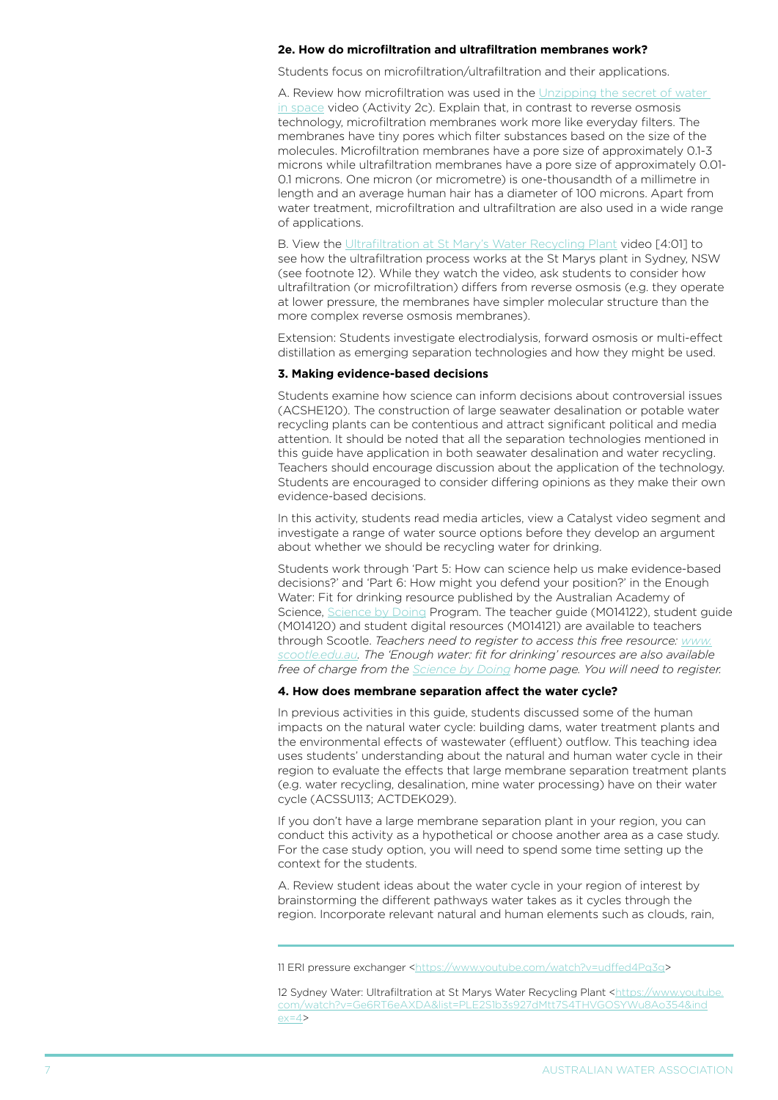#### **2e. How do microfiltration and ultrafiltration membranes work?**

Students focus on microfiltration/ultrafiltration and their applications.

A. Review how microfiltration was used in the Unzipping the secret of water [in space](http://splash.abc.net.au/home#!/media/1341894/unzipping-the-secret-to-water-in-space) video (Activity 2c). Explain that, in contrast to reverse osmosis technology, microfiltration membranes work more like everyday filters. The membranes have tiny pores which filter substances based on the size of the molecules. Microfiltration membranes have a pore size of approximately 0.1-3 microns while ultrafiltration membranes have a pore size of approximately 0.01- 0.1 microns. One micron (or micrometre) is one-thousandth of a millimetre in length and an average human hair has a diameter of 100 microns. Apart from water treatment, microfiltration and ultrafiltration are also used in a wide range of applications.

B. View the [Ultrafiltration at St Mary's Water Recycling Plant](https://www.youtube.com/watch?v=Ge6RT6eAXDA&list=PLE2S1b3s927dMtt7S4THVGOSYWu8Ao354&index=4) video [4:01] to see how the ultrafiltration process works at the St Marys plant in Sydney, NSW (see footnote 12). While they watch the video, ask students to consider how ultrafiltration (or microfiltration) differs from reverse osmosis (e.g. they operate at lower pressure, the membranes have simpler molecular structure than the more complex reverse osmosis membranes).

Extension: Students investigate electrodialysis, forward osmosis or multi-effect distillation as emerging separation technologies and how they might be used.

#### **3. Making evidence-based decisions**

Students examine how science can inform decisions about controversial issues (ACSHE120). The construction of large seawater desalination or potable water recycling plants can be contentious and attract significant political and media attention. It should be noted that all the separation technologies mentioned in this guide have application in both seawater desalination and water recycling. Teachers should encourage discussion about the application of the technology. Students are encouraged to consider differing opinions as they make their own evidence-based decisions.

In this activity, students read media articles, view a Catalyst video segment and investigate a range of water source options before they develop an argument about whether we should be recycling water for drinking.

Students work through 'Part 5: How can science help us make evidence-based decisions?' and 'Part 6: How might you defend your position?' in the Enough Water: Fit for drinking resource published by the Australian Academy of Science, [Science by Doing](https://www.sciencebydoing.edu.au/index.html) Program. The teacher guide (M014122), student guide (M014120) and student digital resources (M014121) are available to teachers through Scootle. *Teachers need to register to access this free resource: [www.](www.scootle.edu.au) [scootle.edu.au.](www.scootle.edu.au) The 'Enough water: fit for drinking' resources are also available free of charge from the [Science by Doing](https://www.sciencebydoing.edu.au/) home page. You will need to register.*

#### **4. How does membrane separation affect the water cycle?**

In previous activities in this guide, students discussed some of the human impacts on the natural water cycle: building dams, water treatment plants and the environmental effects of wastewater (effluent) outflow. This teaching idea uses students' understanding about the natural and human water cycle in their region to evaluate the effects that large membrane separation treatment plants (e.g. water recycling, desalination, mine water processing) have on their water cycle (ACSSU113; ACTDEK029).

If you don't have a large membrane separation plant in your region, you can conduct this activity as a hypothetical or choose another area as a case study. For the case study option, you will need to spend some time setting up the context for the students.

A. Review student ideas about the water cycle in your region of interest by brainstorming the different pathways water takes as it cycles through the region. Incorporate relevant natural and human elements such as clouds, rain,

<sup>11</sup> ERI pressure exchanger [<https://www.youtube.com/watch?v=udffed4Pq3g>](https://www.youtube.com/watch?v=udffed4Pq3g)

<sup>12</sup> Sydney Water: Ultrafiltration at St Marys Water Recycling Plant [<https://www.youtube.](https://www.youtube.com/watch?v=Ge6RT6eAXDA&list=PLE2S1b3s927dMtt7S4THVGOSYWu8Ao354&index=4) [com/watch?v=Ge6RT6eAXDA&list=PLE2S1b3s927dMtt7S4THVGOSYWu8Ao354&ind](https://www.youtube.com/watch?v=Ge6RT6eAXDA&list=PLE2S1b3s927dMtt7S4THVGOSYWu8Ao354&index=4)  $ex=4$